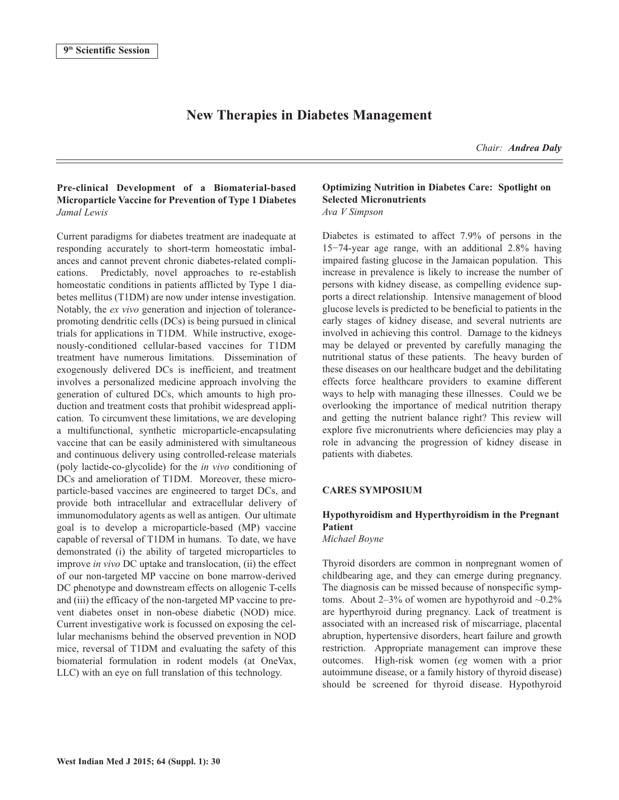# **New Therapies in Diabetes Management**

*Chair: Andrea Daly*

# **Pre-clinical Development of a Biomaterial-based Microparticle Vaccine for Prevention of Type 1 Diabetes** *Jamal Lewis*

Current paradigms for diabetes treatment are inadequate at responding accurately to short-term homeostatic imbalances and cannot prevent chronic diabetes-related complications. Predictably, novel approaches to re-establish homeostatic conditions in patients afflicted by Type 1 diabetes mellitus (T1DM) are now under intense investigation. Notably, the *ex vivo* generation and injection of tolerancepromoting dendritic cells (DCs) is being pursued in clinical trials for applications in T1DM. While instructive, exogenously-conditioned cellular-based vaccines for T1DM treatment have numerous limitations. Dissemination of exogenously delivered DCs is inefficient, and treatment involves a personalized medicine approach involving the generation of cultured DCs, which amounts to high production and treatment costs that prohibit widespread application. To circumvent these limitations, we are developing a multifunctional, synthetic microparticle-encapsulating vaccine that can be easily administered with simultaneous and continuous delivery using controlled-release materials (poly lactide-co-glycolide) for the *in vivo* conditioning of DCs and amelioration of T1DM. Moreover, these microparticle-based vaccines are engineered to target DCs, and provide both intracellular and extracellular delivery of immunomodulatory agents as well as antigen. Our ultimate goal is to develop a microparticle-based (MP) vaccine capable of reversal of T1DM in humans. To date, we have demonstrated (i) the ability of targeted microparticles to improve *in vivo* DC uptake and translocation, (ii) the effect of our non-targeted MP vaccine on bone marrow-derived DC phenotype and downstream effects on allogenic T-cells and (iii) the efficacy of the non-targeted MP vaccine to prevent diabetes onset in non-obese diabetic (NOD) mice. Current investigative work is focussed on exposing the cellular mechanisms behind the observed prevention in NOD mice, reversal of T1DM and evaluating the safety of this biomaterial formulation in rodent models (at OneVax, LLC) with an eye on full translation of this technology.

## **Optimizing Nutrition in Diabetes Care: Spotlight on Selected Micronutrients** *Ava V Simpson*

Diabetes is estimated to affect 7.9% of persons in the 15−74-year age range, with an additional 2.8% having impaired fasting glucose in the Jamaican population. This increase in prevalence is likely to increase the number of persons with kidney disease, as compelling evidence supports a direct relationship. Intensive management of blood glucose levels is predicted to be beneficial to patients in the early stages of kidney disease, and several nutrients are involved in achieving this control. Damage to the kidneys may be delayed or prevented by carefully managing the nutritional status of these patients. The heavy burden of these diseases on our healthcare budget and the debilitating effects force healthcare providers to examine different ways to help with managing these illnesses. Could we be overlooking the importance of medical nutrition therapy and getting the nutrient balance right? This review will explore five micronutrients where deficiencies may play a role in advancing the progression of kidney disease in patients with diabetes.

### **CARES SYMPOSIUM**

# **Hypothyroidism and Hyperthyroidism in the Pregnant Patient**

*Michael Boyne*

Thyroid disorders are common in nonpregnant women of childbearing age, and they can emerge during pregnancy. The diagnosis can be missed because of nonspecific symptoms. About 2–3% of women are hypothyroid and  $\sim 0.2\%$ are hyperthyroid during pregnancy. Lack of treatment is associated with an increased risk of miscarriage, placental abruption, hypertensive disorders, heart failure and growth restriction. Appropriate management can improve these outcomes. High-risk women (*eg* women with a prior autoimmune disease, or a family history of thyroid disease) should be screened for thyroid disease. Hypothyroid